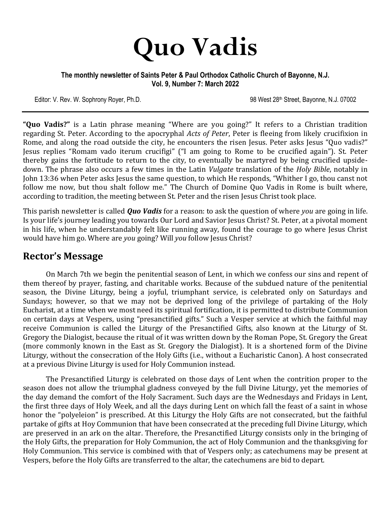

#### **The monthly newsletter of Saints Peter & Paul Orthodox Catholic Church of Bayonne, N.J. Vol. 9, Number 7: March 2022**

Editor: V. Rev. W. Sophrony Royer, Ph.D. 98 West 28th Street, Bayonne, N.J. 07002

**"Quo Vadis?"** is a Latin phrase meaning "Where are you going?" It refers to a Christian tradition regarding St. Peter. According to the apocryphal *Acts of Peter*, Peter is fleeing from likely crucifixion in Rome, and along the road outside the city, he encounters the risen Jesus. Peter asks Jesus "Quo vadis?" Jesus replies "Romam vado iterum crucifigi" ("I am going to Rome to be crucified again"). St. Peter thereby gains the fortitude to return to the city, to eventually be martyred by being crucified upsidedown. The phrase also occurs a few times in the Latin *Vulgate* translation of the *Holy Bible*, notably in John 13:36 when Peter asks Jesus the same question, to which He responds, "Whither I go, thou canst not follow me now, but thou shalt follow me." The Church of Domine Quo Vadis in Rome is built where, according to tradition, the meeting between St. Peter and the risen Jesus Christ took place.

This parish newsletter is called *Quo Vadis* for a reason: to ask the question of where *you* are going in life. Is your life's journey leading you towards Our Lord and Savior Jesus Christ? St. Peter, at a pivotal moment in his life, when he understandably felt like running away, found the courage to go where Jesus Christ would have him go. Where are *you* going? Will *you* follow Jesus Christ?

## **Rector's Message**

On March 7th we begin the penitential season of Lent, in which we confess our sins and repent of them thereof by prayer, fasting, and charitable works. Because of the subdued nature of the penitential season, the Divine Liturgy, being a joyful, triumphant service, is celebrated only on Saturdays and Sundays; however, so that we may not be deprived long of the privilege of partaking of the Holy Eucharist, at a time when we most need its spiritual fortification, it is permitted to distribute Communion on certain days at Vespers, using "presanctified gifts." Such a Vesper service at which the faithful may receive Communion is called the Liturgy of the Presanctified Gifts, also known at the Liturgy of St. Gregory the Dialogist, because the ritual of it was written down by the Roman Pope, St. Gregory the Great (more commonly known in the East as St. Gregory the Dialogist). It is a shortened form of the Divine Liturgy, without the consecration of the Holy Gifts (i.e., without a Eucharistic Canon). A host consecrated at a previous Divine Liturgy is used for Holy Communion instead.

The Presanctified Liturgy is celebrated on those days of Lent when the contrition proper to the season does not allow the triumphal gladness conveyed by the full Divine Liturgy, yet the memories of the day demand the comfort of the Holy Sacrament. Such days are the Wednesdays and Fridays in Lent, the first three days of Holy Week, and all the days during Lent on which fall the feast of a saint in whose honor the "polyeleion" is prescribed. At this Liturgy the Holy Gifts are not consecrated, but the faithful partake of gifts at Hoy Communion that have been consecrated at the preceding full Divine Liturgy, which are preserved in an ark on the altar. Therefore, the Presanctified Liturgy consists only in the bringing of the Holy Gifts, the preparation for Holy Communion, the act of Holy Communion and the thanksgiving for Holy Communion. This service is combined with that of Vespers only; as catechumens may be present at Vespers, before the Holy Gifts are transferred to the altar, the catechumens are bid to depart.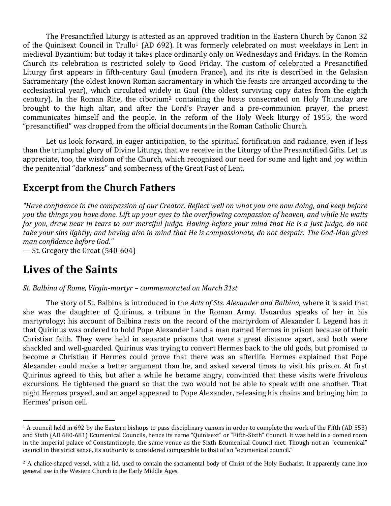The Presanctified Liturgy is attested as an approved tradition in the Eastern Church by Canon 32 of the Quinisext Council in Trullo<sup>1</sup> (AD 692). It was formerly celebrated on most weekdays in Lent in medieval Byzantium; but today it takes place ordinarily only on Wednesdays and Fridays. In the Roman Church its celebration is restricted solely to Good Friday. The custom of celebrated a Presanctified Liturgy first appears in fifth-century Gaul (modern France), and its rite is described in the Gelasian Sacramentary (the oldest known Roman sacramentary in which the feasts are arranged according to the ecclesiastical year), which circulated widely in Gaul (the oldest surviving copy dates from the eighth century). In the Roman Rite, the ciborium<sup>2</sup> containing the hosts consecrated on Holy Thursday are brought to the high altar, and after the Lord's Prayer and a pre-communion prayer, the priest communicates himself and the people. In the reform of the Holy Week liturgy of 1955, the word "presanctified" was dropped from the official documents in the Roman Catholic Church.

Let us look forward, in eager anticipation, to the spiritual fortification and radiance, even if less than the triumphal glory of Divine Liturgy, that we receive in the Liturgy of the Presanctified Gifts. Let us appreciate, too, the wisdom of the Church, which recognized our need for some and light and joy within the penitential "darkness" and somberness of the Great Fast of Lent.

## **Excerpt from the Church Fathers**

*"Have confidence in the compassion of our Creator. Reflect well on what you are now doing, and keep before you the things you have done. Lift up your eyes to the overflowing compassion of heaven, and while He waits for you, draw near in tears to our merciful Judge. Having before your mind that He is a Just Judge, do not take your sins lightly; and having also in mind that He is compassionate, do not despair. The God-Man gives man confidence before God."*

— St. Gregory the Great (540-604)

# **Lives of the Saints**

*St. Balbina of Rome, Virgin-martyr – commemorated on March 31st*

The story of St. Balbina is introduced in the *Acts of Sts. Alexander and Balbina*, where it is said that she was the daughter of Quirinus, a tribune in the Roman Army. Usuardus speaks of her in his martyrology; his account of Balbina rests on the record of the martyrdom of Alexander I. Legend has it that Quirinus was ordered to hold Pope Alexander I and a man named Hermes in prison because of their Christian faith. They were held in separate prisons that were a great distance apart, and both were shackled and well-guarded. Quirinus was trying to convert Hermes back to the old gods, but promised to become a Christian if Hermes could prove that there was an afterlife. Hermes explained that Pope Alexander could make a better argument than he, and asked several times to visit his prison. At first Quirinus agreed to this, but after a while he became angry, convinced that these visits were frivolous excursions. He tightened the guard so that the two would not be able to speak with one another. That night Hermes prayed, and an angel appeared to Pope Alexander, releasing his chains and bringing him to Hermes' prison cell.

 $1$  A council held in 692 by the Eastern bishops to pass disciplinary canons in order to complete the work of the Fifth (AD 553) and Sixth (AD 680-681) Ecumenical Councils, hence its name "Quinisext" or "Fifth-Sixth" Council. It was held in a domed room in the imperial palace of Constantinople, the same venue as the Sixth Ecumenical Council met. Though not an "ecumenical" council in the strict sense, its authority is considered comparable to that of an "ecumenical council."

<sup>&</sup>lt;sup>2</sup> A chalice-shaped vessel, with a lid, used to contain the sacramental body of Christ of the Holy Eucharist. It apparently came into general use in the Western Church in the Early Middle Ages.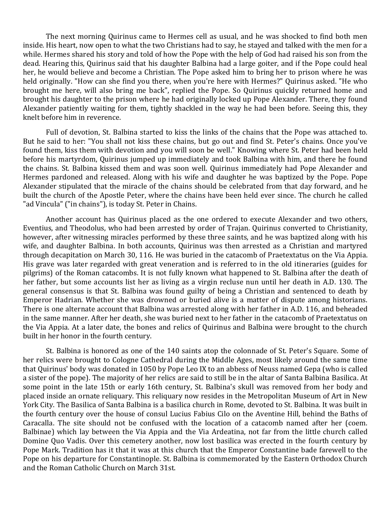The next morning Quirinus came to Hermes cell as usual, and he was shocked to find both men inside. His heart, now open to what the two Christians had to say, he stayed and talked with the men for a while. Hermes shared his story and told of how the Pope with the help of God had raised his son from the dead. Hearing this, Quirinus said that his daughter Balbina had a large goiter, and if the Pope could heal her, he would believe and become a Christian. The Pope asked him to bring her to prison where he was held originally. "How can she find you there, when you're here with Hermes?" Quirinus asked. "He who brought me here, will also bring me back", replied the Pope. So Quirinus quickly returned home and brought his daughter to the prison where he had originally locked up Pope Alexander. There, they found Alexander patiently waiting for them, tightly shackled in the way he had been before. Seeing this, they knelt before him in reverence.

Full of devotion, St. Balbina started to kiss the links of the chains that the Pope was attached to. But he said to her: "You shall not kiss these chains, but go out and find St. Peter's chains. Once you've found them, kiss them with devotion and you will soon be well." Knowing where St. Peter had been held before his martyrdom, Quirinus jumped up immediately and took Balbina with him, and there he found the chains. St. Balbina kissed them and was soon well. Quirinus immediately had Pope Alexander and Hermes pardoned and released. Along with his wife and daughter he was baptized by the Pope. Pope Alexander stipulated that the miracle of the chains should be celebrated from that day forward, and he built the church of the Apostle Peter, where the chains have been held ever since. The church he called "ad Vincula" ("in chains"), is today St. Peter in Chains.

Another account has Quirinus placed as the one ordered to execute Alexander and two others, Eventius, and Theodolus, who had been arrested by order of Trajan. Quirinus converted to Christianity, however, after witnessing miracles performed by these three saints, and he was baptized along with his wife, and daughter Balbina. In both accounts, Quirinus was then arrested as a Christian and martyred through decapitation on March 30, 116. He was buried in the catacomb of Praetextatus on the Via Appia. His grave was later regarded with great veneration and is referred to in the old itineraries (guides for pilgrims) of the Roman catacombs. It is not fully known what happened to St. Balbina after the death of her father, but some accounts list her as living as a virgin recluse nun until her death in A.D. 130. The general consensus is that St. Balbina was found guilty of being a Christian and sentenced to death by Emperor Hadrian. Whether she was drowned or buried alive is a matter of dispute among historians. There is one alternate account that Balbina was arrested along with her father in A.D. 116, and beheaded in the same manner. After her death, she was buried next to her father in the catacomb of Praetextatus on the Via Appia. At a later date, the bones and relics of Quirinus and Balbina were brought to the church built in her honor in the fourth century.

St. Balbina is honored as one of the 140 saints atop the colonnade of St. Peter's Square. Some of her relics were brought to Cologne Cathedral during the Middle Ages, most likely around the same time that Quirinus' body was donated in 1050 by Pope Leo IX to an abbess of Neuss named Gepa (who is called a sister of the pope). The majority of her relics are said to still be in the altar of Santa Balbina Basilica. At some point in the late 15th or early 16th century, St. Balbina's skull was removed from her body and placed inside an ornate reliquary. This reliquary now resides in the Metropolitan Museum of Art in New York City. The Basilica of Santa Balbina is a basilica church in Rome, devoted to St. Balbina. It was built in the fourth century over the house of consul Lucius Fabius Cilo on the Aventine Hill, behind the Baths of Caracalla. The site should not be confused with the location of a catacomb named after her (coem. Balbinae) which lay between the Via Appia and the Via Ardeatina, not far from the little church called Domine Quo Vadis. Over this cemetery another, now lost basilica was erected in the fourth century by Pope Mark. Tradition has it that it was at this church that the Emperor Constantine bade farewell to the Pope on his departure for Constantinople. St. Balbina is commemorated by the Eastern Orthodox Church and the Roman Catholic Church on March 31st.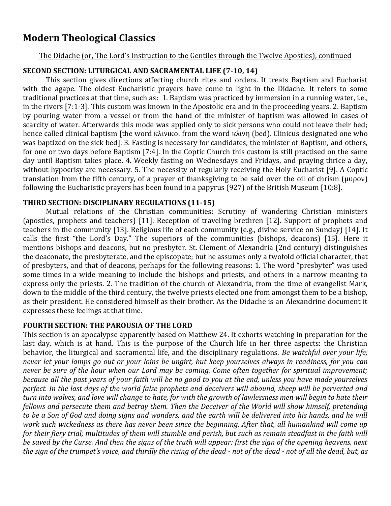## **Modern Theological Classics**

#### The Didache (or, The Lord's Instruction to the Gentiles through the Twelve Apostles), continued

#### **SECOND SECTION: LITURGICAL AND SACRAMENTAL LIFE (7-10, 14)**

This section gives directions affecting church rites and orders. It treats Baptism and Eucharist with the agape. The oldest Eucharistic prayers have come to light in the Didache. It refers to some traditional practices at that time, such as: 1. Baptism was practiced by immersion in a running water, i.e., in the rivers [7:1-3]. This custom was known in the Apostolic era and in the proceeding years. 2. Baptism by pouring water from a vessel or from the hand of the minister of baptism was allowed in cases of scarcity of water. Afterwards this mode was applied only to sick persons who could not leave their bed; hence called clinical baptism [the word κλινικοι from the word κλινη (bed). Clinicus designated one who was baptized on the sick bed]. 3. Fasting is necessary for candidates, the minister of Baptism, and others, for one or two days before Baptism [7:4]. In the Coptic Church this custom is still practised on the same day until Baptism takes place. 4. Weekly fasting on Wednesdays and Fridays, and praying thrice a day, without hypocrisy are necessary. 5. The necessity of regularly receiving the Holy Eucharist [9]. A Coptic translation from the fifth century, of a prayer of thanksgiving to be said over the oil of chrism (µυρον) following the Eucharistic prayers has been found in a papyrus (927) of the British Museum [10:8].

#### **THIRD SECTION: DISCIPLINARY REGULATIONS (11-15)**

Mutual relations of the Christian communities: Scrutiny of wandering Christian ministers (apostles, prophets and teachers) [11]. Reception of traveling brethren [12]. Support of prophets and teachers in the community [13]. Religious life of each community (e.g., divine service on Sunday) [14]. It calls the first "the Lord's Day." The superiors of the communities (bishops, deacons) [15]. Here it mentions bishops and deacons, but no presbyter. St. Clement of Alexandria (2nd century) distinguishes the deaconate, the presbyterate, and the episcopate; but he assumes only a twofold official character, that of presbyters, and that of deacons, perhaps for the following reasons: 1. The word "presbyter" was used some times in a wide meaning to include the bishops and priests, and others in a narrow meaning to express only the priests. 2. The tradition of the church of Alexandria, from the time of evangelist Mark, down to the middle of the third century, the twelve priests elected one from amongst them to be a bishop, as their president. He considered himself as their brother. As the Didache is an Alexandrine document it expresses these feelings at that time.

#### **FOURTH SECTION: THE PAROUSIA OF THE LORD**

This section is an apocalypse apparently based on Matthew 24. It exhorts watching in preparation for the last day, which is at hand. This is the purpose of the Church life in her three aspects: the Christian behavior, the liturgical and sacramental life, and the disciplinary regulations. *Be watchful over your life; never let your lamps go out or your loins be ungirt, but keep yourselves always in readiness, for you can never be sure of the hour when our Lord may be coming. Come often together for spiritual improvement; because all the past years of your faith will be no good to you at the end, unless you have made yourselves perfect. In the last days of the world false prophets and deceivers will abound, sheep will be perverted and turn into wolves, and love will change to hate, for with the growth of lawlessness men will begin to hate their fellows and persecute them and betray them. Then the Deceiver of the World will show himself, pretending to be a Son of God and doing signs and wonders, and the earth will be delivered into his hands, and he will work such wickedness as there has never been since the beginning. After that, all humankind will come up for their fiery trial; multitudes of them will stumble and perish, but such as remain steadfast in the faith will be saved by the Curse. And then the signs of the truth will appear: first the sign of the opening heavens, next the sign of the trumpet's voice, and thirdly the rising of the dead - not of the dead - not of all the dead, but, as*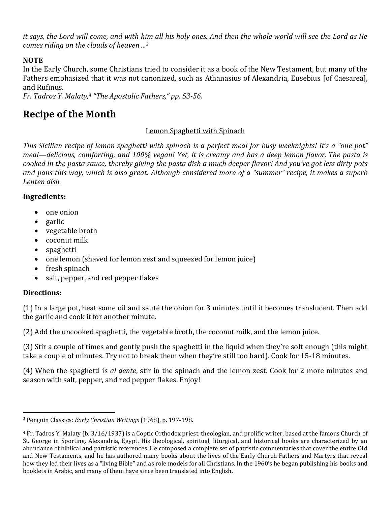*it says, the Lord will come, and with him all his holy ones. And then the whole world will see the Lord as He comes riding on the clouds of heaven ... 3*

## **NOTE**

In the Early Church, some Christians tried to consider it as a book of the New Testament, but many of the Fathers emphasized that it was not canonized, such as Athanasius of Alexandria, Eusebius [of Caesarea], and Rufinus.

*Fr. Tadros Y. Malaty,<sup>4</sup> "The Apostolic Fathers," pp. 53-56.*

# **Recipe of the Month**

## Lemon Spaghetti with Spinach

*This Sicilian recipe of lemon spaghetti with spinach is a perfect meal for busy weeknights! It's a "one pot" meal—delicious, comforting, and 100% vegan! Yet, it is creamy and has a deep lemon flavor. The pasta is cooked in the pasta sauce, thereby giving the pasta dish a much deeper flavor! And you've got less dirty pots and pans this way, which is also great. Although considered more of a "summer" recipe, it makes a superb Lenten dish.*

## **Ingredients:**

- one onion
- garlic
- vegetable broth
- coconut milk
- spaghetti
- one lemon (shaved for lemon zest and squeezed for lemon juice)
- fresh spinach
- salt, pepper, and red pepper flakes

## **Directions:**

(1) In a large pot, heat some oil and sauté the onion for 3 minutes until it becomes translucent. Then add the garlic and cook it for another minute.

(2) Add the uncooked spaghetti, the vegetable broth, the coconut milk, and the lemon juice.

(3) Stir a couple of times and gently push the spaghetti in the liquid when they're soft enough (this might take a couple of minutes. Try not to break them when they're still too hard). Cook for 15-18 minutes.

(4) When the spaghetti is *al dente*, stir in the spinach and the lemon zest. Cook for 2 more minutes and season with salt, pepper, and red pepper flakes. Enjoy!

<sup>3</sup> Penguin Classics: *Early Christian Writings* (1968), p. 197-198.

<sup>4</sup> Fr. Tadros Y. Malaty (b. 3/16/1937) is a Coptic Orthodox priest, theologian, and prolific writer, based at the famous Church of St. George in Sporting, Alexandria, Egypt. His theological, spiritual, liturgical, and historical books are characterized by an abundance of biblical and patristic references. He composed a complete set of patristic commentaries that cover the entire Old and New Testaments, and he has authored many books about the lives of the Early Church Fathers and Martyrs that reveal how they led their lives as a "living Bible" and as role models for all Christians. In the 1960's he began publishing his books and booklets in Arabic, and many of them have since been translated into English.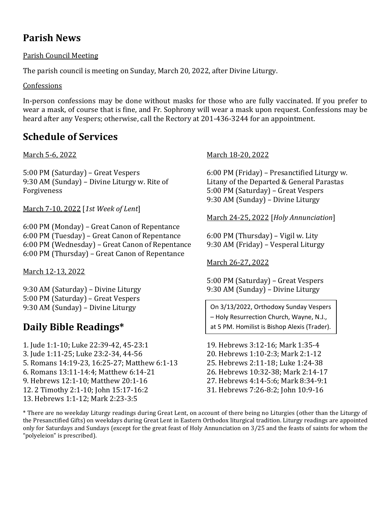# **Parish News**

#### Parish Council Meeting

The parish council is meeting on Sunday, March 20, 2022, after Divine Liturgy.

#### Confessions

In-person confessions may be done without masks for those who are fully vaccinated. If you prefer to wear a mask, of course that is fine, and Fr. Sophrony will wear a mask upon request. Confessions may be heard after any Vespers; otherwise, call the Rectory at 201-436-3244 for an appointment.

## **Schedule of Services**

5:00 PM (Saturday) – Great Vespers 6:00 PM (Friday) – Presanctified Liturgy w. 9:30 AM (Sunday) – Divine Liturgy w. Rite of Litany of the Departed & General Parastas Forgiveness 5:00 PM (Saturday) – Great Vespers

March 7-10, 2022 [*1st Week of Lent*]

6:00 PM (Monday) – Great Canon of Repentance 6:00 PM (Tuesday) – Great Canon of Repentance 6:00 PM (Thursday) – Vigil w. Lity 6:00 PM (Wednesday) – Great Canon of Repentance 9:30 AM (Friday) – Vesperal Liturgy 6:00 PM (Thursday) – Great Canon of Repentance

March 12-13, 2022

9:30 AM (Saturday) – Divine Liturgy 9:30 AM (Sunday) – Divine Liturgy 5:00 PM (Saturday) – Great Vespers 9:30 AM (Sunday) – Divine Liturgy

# **Daily Bible Readings\***

1. Jude 1:1-10; Luke 22:39-42, 45-23:1 19. Hebrews 3:12-16; Mark 1:35-4 3. Jude 1:11-25; Luke 23:2-34, 44-56 20. Hebrews 1:10-2:3; Mark 2:1-12 5. Romans 14:19-23, 16:25-27; Matthew 6:1-13 25. Hebrews 2:11-18; Luke 1:24-38 6. Romans 13:11-14:4; Matthew 6:14-21 26. Hebrews 10:32-38; Mark 2:14-17 9. Hebrews 12:1-10; Matthew 20:1-16 27. Hebrews 4:14-5:6; Mark 8:34-9:1 12. 2 Timothy 2:1-10; John 15:17-16:2 31. Hebrews 7:26-8:2; John 10:9-16 13. Hebrews 1:1-12; Mark 2:23-3:5

March 5-6, 2022 March 18-20, 2022

9:30 AM (Sunday) – Divine Liturgy

March 24-25, 2022 [*Holy Annunciation*]

March 26-27, 2022

5:00 PM (Saturday) – Great Vespers

On 3/13/2022, Orthodoxy Sunday Vespers – Holy Resurrection Church, Wayne, N.J., at 5 PM. Homilist is Bishop Alexis (Trader).

\* There are no weekday Liturgy readings during Great Lent, on account of there being no Liturgies (other than the Liturgy of the Presanctified Gifts) on weekdays during Great Lent in Eastern Orthodox liturgical tradition. Liturgy readings are appointed only for Saturdays and Sundays (except for the great feast of Holy Annunciation on 3/25 and the feasts of saints for whom the "polyeleion" is prescribed).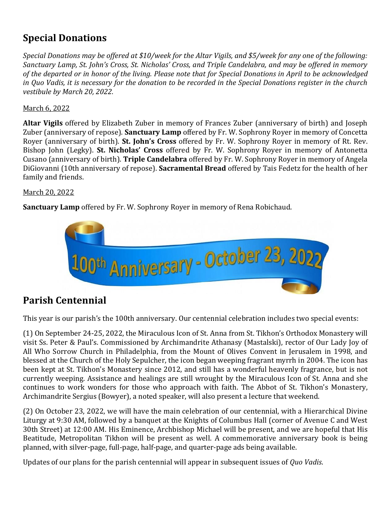# **Special Donations**

*Special Donations may be offered at \$10/week for the Altar Vigils, and \$5/week for any one of the following: Sanctuary Lamp, St. John's Cross, St. Nicholas' Cross, and Triple Candelabra, and may be offered in memory of the departed or in honor of the living. Please note that for Special Donations in April to be acknowledged in Quo Vadis, it is necessary for the donation to be recorded in the Special Donations register in the church vestibule by March 20, 2022.*

#### March 6, 2022

**Altar Vigils** offered by Elizabeth Zuber in memory of Frances Zuber (anniversary of birth) and Joseph Zuber (anniversary of repose). **Sanctuary Lamp** offered by Fr. W. Sophrony Royer in memory of Concetta Royer (anniversary of birth). **St. John's Cross** offered by Fr. W. Sophrony Royer in memory of Rt. Rev. Bishop John (Legky). **St. Nicholas' Cross** offered by Fr. W. Sophrony Royer in memory of Antonetta Cusano (anniversary of birth). **Triple Candelabra** offered by Fr. W. Sophrony Royer in memory of Angela DiGiovanni (10th anniversary of repose). **Sacramental Bread** offered by Tais Fedetz for the health of her family and friends.

#### March 20, 2022

**Sanctuary Lamp** offered by Fr. W. Sophrony Royer in memory of Rena Robichaud.



# **Parish Centennial**

This year is our parish's the 100th anniversary. Our centennial celebration includes two special events:

(1) On September 24-25, 2022, the Miraculous Icon of St. Anna from St. Tikhon's Orthodox Monastery will visit Ss. Peter & Paul's. Commissioned by Archimandrite Athanasy (Mastalski), rector of Our Lady Joy of All Who Sorrow Church in Philadelphia, from the Mount of Olives Convent in Jerusalem in 1998, and blessed at the Church of the Holy Sepulcher, the icon began weeping fragrant myrrh in 2004. The icon has been kept at St. Tikhon's Monastery since 2012, and still has a wonderful heavenly fragrance, but is not currently weeping. Assistance and healings are still wrought by the Miraculous Icon of St. Anna and she continues to work wonders for those who approach with faith. The Abbot of St. Tikhon's Monastery, Archimandrite Sergius (Bowyer), a noted speaker, will also present a lecture that weekend.

(2) On October 23, 2022, we will have the main celebration of our centennial, with a Hierarchical Divine Liturgy at 9:30 AM, followed by a banquet at the Knights of Columbus Hall (corner of Avenue C and West 30th Street) at 12:00 AM. His Eminence, Archbishop Michael will be present, and we are hopeful that His Beatitude, Metropolitan Tikhon will be present as well. A commemorative anniversary book is being planned, with silver-page, full-page, half-page, and quarter-page ads being available.

Updates of our plans for the parish centennial will appear in subsequent issues of *Quo Vadis*.